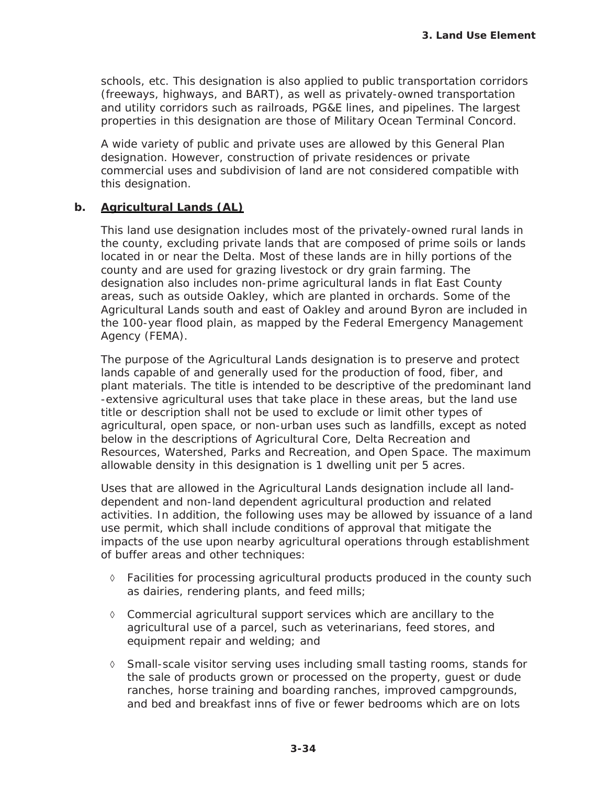schools, etc. This designation is also applied to public transportation corridors (freeways, highways, and BART), as well as privately-owned transportation and utility corridors such as railroads, PG&E lines, and pipelines. The largest properties in this designation are those of Military Ocean Terminal Concord.

A wide variety of public and private uses are allowed by this General Plan designation. However, construction of private residences or private commercial uses and subdivision of land are not considered compatible with this designation.

## **b. Agricultural Lands (AL)**

This land use designation includes most of the privately-owned rural lands in the county, excluding private lands that are composed of prime soils or lands located in or near the Delta. Most of these lands are in hilly portions of the county and are used for grazing livestock or dry grain farming. The designation also includes non-prime agricultural lands in flat East County areas, such as outside Oakley, which are planted in orchards. Some of the Agricultural Lands south and east of Oakley and around Byron are included in the 100-year flood plain, as mapped by the Federal Emergency Management Agency (FEMA).

The purpose of the Agricultural Lands designation is to preserve and protect lands capable of and generally used for the production of food, fiber, and plant materials. The title is intended to be descriptive of the predominant land -extensive agricultural uses that take place in these areas, but the land use title or description shall not be used to exclude or limit other types of agricultural, open space, or non-urban uses such as landfills, except as noted below in the descriptions of Agricultural Core, Delta Recreation and Resources, Watershed, Parks and Recreation, and Open Space. The maximum allowable density in this designation is 1 dwelling unit per 5 acres.

Uses that are allowed in the Agricultural Lands designation include all landdependent and non-land dependent agricultural production and related activities. In addition, the following uses may be allowed by issuance of a land use permit, which shall include conditions of approval that mitigate the impacts of the use upon nearby agricultural operations through establishment of buffer areas and other techniques:

- $\Diamond$  Facilities for processing agricultural products produced in the county such as dairies, rendering plants, and feed mills;
- $\Diamond$  Commercial agricultural support services which are ancillary to the agricultural use of a parcel, such as veterinarians, feed stores, and equipment repair and welding; and
- $\Diamond$  Small-scale visitor serving uses including small tasting rooms, stands for the sale of products grown or processed on the property, guest or dude ranches, horse training and boarding ranches, improved campgrounds, and bed and breakfast inns of five or fewer bedrooms which are on lots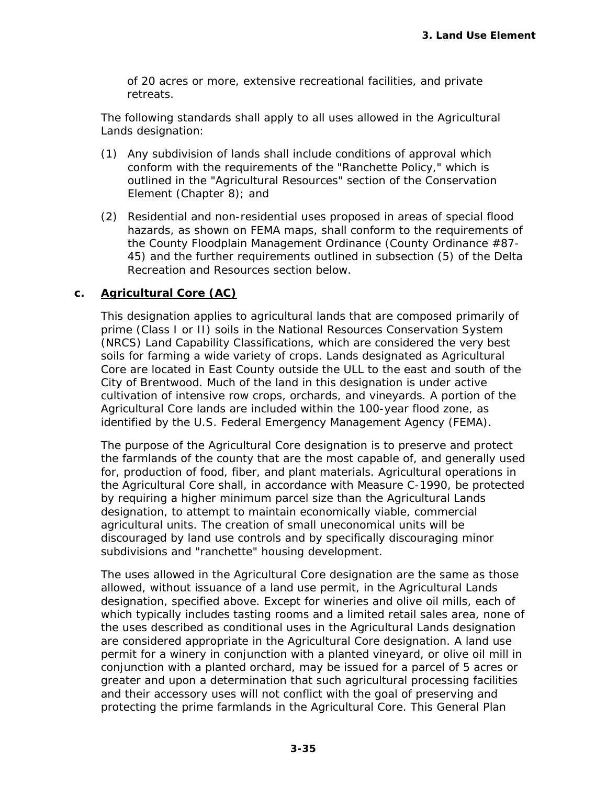of 20 acres or more, extensive recreational facilities, and private retreats.

The following standards shall apply to all uses allowed in the Agricultural Lands designation:

- (1) Any subdivision of lands shall include conditions of approval which conform with the requirements of the "Ranchette Policy," which is outlined in the "Agricultural Resources" section of the Conservation Element (Chapter 8); and
- (2) Residential and non-residential uses proposed in areas of special flood hazards, as shown on FEMA maps, shall conform to the requirements of the County Floodplain Management Ordinance (County Ordinance #87- 45) and the further requirements outlined in subsection (5) of the Delta Recreation and Resources section below.

## **c. Agricultural Core (AC)**

This designation applies to agricultural lands that are composed primarily of prime (Class I or II) soils in the National Resources Conservation System (NRCS) Land Capability Classifications, which are considered the very best soils for farming a wide variety of crops. Lands designated as Agricultural Core are located in East County outside the ULL to the east and south of the City of Brentwood. Much of the land in this designation is under active cultivation of intensive row crops, orchards, and vineyards. A portion of the Agricultural Core lands are included within the 100-year flood zone, as identified by the U.S. Federal Emergency Management Agency (FEMA).

The purpose of the Agricultural Core designation is to preserve and protect the farmlands of the county that are the most capable of, and generally used for, production of food, fiber, and plant materials. Agricultural operations in the Agricultural Core shall, in accordance with Measure C-1990, be protected by requiring a higher minimum parcel size than the Agricultural Lands designation, to attempt to maintain economically viable, commercial agricultural units. The creation of small uneconomical units will be discouraged by land use controls and by specifically discouraging minor subdivisions and "ranchette" housing development.

The uses allowed in the Agricultural Core designation are the same as those allowed, without issuance of a land use permit, in the Agricultural Lands designation, specified above. Except for wineries and olive oil mills, each of which typically includes tasting rooms and a limited retail sales area, none of the uses described as conditional uses in the Agricultural Lands designation are considered appropriate in the Agricultural Core designation. A land use permit for a winery in conjunction with a planted vineyard, or olive oil mill in conjunction with a planted orchard, may be issued for a parcel of 5 acres or greater and upon a determination that such agricultural processing facilities and their accessory uses will not conflict with the goal of preserving and protecting the prime farmlands in the Agricultural Core. This General Plan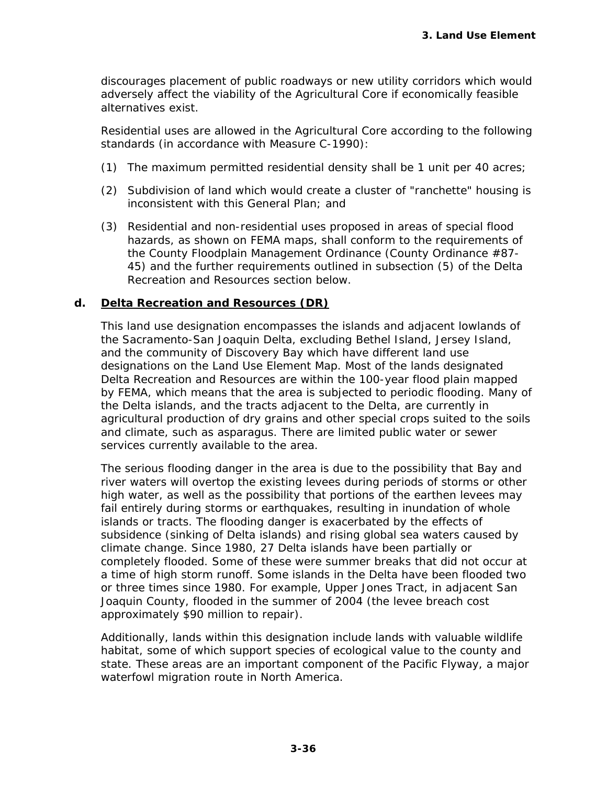discourages placement of public roadways or new utility corridors which would adversely affect the viability of the Agricultural Core if economically feasible alternatives exist.

Residential uses are allowed in the Agricultural Core according to the following standards (in accordance with Measure C-1990):

- (1) The maximum permitted residential density shall be 1 unit per 40 acres;
- (2) Subdivision of land which would create a cluster of "ranchette" housing is inconsistent with this General Plan; and
- (3) Residential and non-residential uses proposed in areas of special flood hazards, as shown on FEMA maps, shall conform to the requirements of the County Floodplain Management Ordinance (County Ordinance #87- 45) and the further requirements outlined in subsection (5) of the Delta Recreation and Resources section below.

## **d. Delta Recreation and Resources (DR)**

This land use designation encompasses the islands and adjacent lowlands of the Sacramento-San Joaquin Delta, excluding Bethel Island, Jersey Island, and the community of Discovery Bay which have different land use designations on the Land Use Element Map. Most of the lands designated Delta Recreation and Resources are within the 100-year flood plain mapped by FEMA, which means that the area is subjected to periodic flooding. Many of the Delta islands, and the tracts adjacent to the Delta, are currently in agricultural production of dry grains and other special crops suited to the soils and climate, such as asparagus. There are limited public water or sewer services currently available to the area.

The serious flooding danger in the area is due to the possibility that Bay and river waters will overtop the existing levees during periods of storms or other high water, as well as the possibility that portions of the earthen levees may fail entirely during storms or earthquakes, resulting in inundation of whole islands or tracts. The flooding danger is exacerbated by the effects of subsidence (sinking of Delta islands) and rising global sea waters caused by climate change. Since 1980, 27 Delta islands have been partially or completely flooded. Some of these were summer breaks that did not occur at a time of high storm runoff. Some islands in the Delta have been flooded two or three times since 1980. For example, Upper Jones Tract, in adjacent San Joaquin County, flooded in the summer of 2004 (the levee breach cost approximately \$90 million to repair).

Additionally, lands within this designation include lands with valuable wildlife habitat, some of which support species of ecological value to the county and state. These areas are an important component of the Pacific Flyway, a major waterfowl migration route in North America.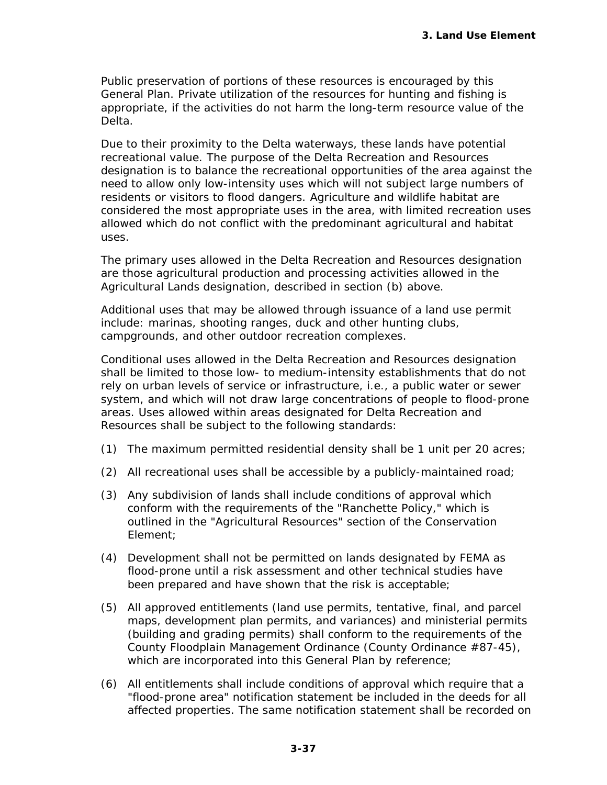Public preservation of portions of these resources is encouraged by this General Plan. Private utilization of the resources for hunting and fishing is appropriate, if the activities do not harm the long-term resource value of the Delta.

Due to their proximity to the Delta waterways, these lands have potential recreational value. The purpose of the Delta Recreation and Resources designation is to balance the recreational opportunities of the area against the need to allow only low-intensity uses which will not subject large numbers of residents or visitors to flood dangers. Agriculture and wildlife habitat are considered the most appropriate uses in the area, with limited recreation uses allowed which do not conflict with the predominant agricultural and habitat uses.

The primary uses allowed in the Delta Recreation and Resources designation are those agricultural production and processing activities allowed in the Agricultural Lands designation, described in section (b) above.

Additional uses that may be allowed through issuance of a land use permit include: marinas, shooting ranges, duck and other hunting clubs, campgrounds, and other outdoor recreation complexes.

Conditional uses allowed in the Delta Recreation and Resources designation shall be limited to those low- to medium-intensity establishments that do not rely on urban levels of service or infrastructure, i.e., a public water or sewer system, and which will not draw large concentrations of people to flood-prone areas. Uses allowed within areas designated for Delta Recreation and Resources shall be subject to the following standards:

- (1) The maximum permitted residential density shall be 1 unit per 20 acres;
- (2) All recreational uses shall be accessible by a publicly-maintained road;
- (3) Any subdivision of lands shall include conditions of approval which conform with the requirements of the "Ranchette Policy," which is outlined in the "Agricultural Resources" section of the Conservation Element;
- (4) Development shall not be permitted on lands designated by FEMA as flood-prone until a risk assessment and other technical studies have been prepared and have shown that the risk is acceptable;
- (5) All approved entitlements (land use permits, tentative, final, and parcel maps, development plan permits, and variances) and ministerial permits (building and grading permits) shall conform to the requirements of the County Floodplain Management Ordinance (County Ordinance #87-45), which are incorporated into this General Plan by reference;
- (6) All entitlements shall include conditions of approval which require that a "flood-prone area" notification statement be included in the deeds for all affected properties. The same notification statement shall be recorded on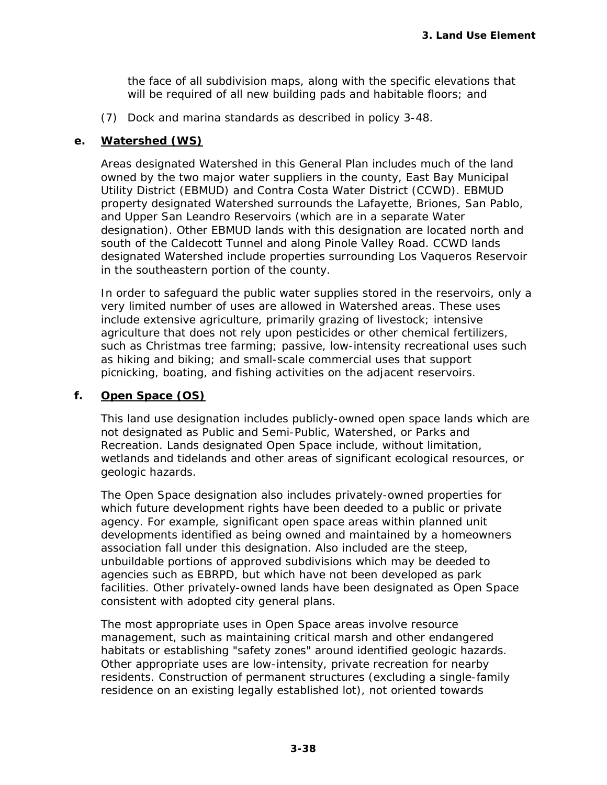the face of all subdivision maps, along with the specific elevations that will be required of all new building pads and habitable floors; and

(7) Dock and marina standards as described in policy 3-48.

## **e. Watershed (WS)**

Areas designated Watershed in this General Plan includes much of the land owned by the two major water suppliers in the county, East Bay Municipal Utility District (EBMUD) and Contra Costa Water District (CCWD). EBMUD property designated Watershed surrounds the Lafayette, Briones, San Pablo, and Upper San Leandro Reservoirs (which are in a separate Water designation). Other EBMUD lands with this designation are located north and south of the Caldecott Tunnel and along Pinole Valley Road. CCWD lands designated Watershed include properties surrounding Los Vaqueros Reservoir in the southeastern portion of the county.

In order to safeguard the public water supplies stored in the reservoirs, only a very limited number of uses are allowed in Watershed areas. These uses include extensive agriculture, primarily grazing of livestock; intensive agriculture that does not rely upon pesticides or other chemical fertilizers, such as Christmas tree farming; passive, low-intensity recreational uses such as hiking and biking; and small-scale commercial uses that support picnicking, boating, and fishing activities on the adjacent reservoirs.

## **f. Open Space (OS)**

This land use designation includes publicly-owned open space lands which are not designated as Public and Semi-Public, Watershed, or Parks and Recreation. Lands designated Open Space include, without limitation, wetlands and tidelands and other areas of significant ecological resources, or geologic hazards.

The Open Space designation also includes privately-owned properties for which future development rights have been deeded to a public or private agency. For example, significant open space areas within planned unit developments identified as being owned and maintained by a homeowners association fall under this designation. Also included are the steep, unbuildable portions of approved subdivisions which may be deeded to agencies such as EBRPD, but which have not been developed as park facilities. Other privately-owned lands have been designated as Open Space consistent with adopted city general plans.

The most appropriate uses in Open Space areas involve resource management, such as maintaining critical marsh and other endangered habitats or establishing "safety zones" around identified geologic hazards. Other appropriate uses are low-intensity, private recreation for nearby residents. Construction of permanent structures (excluding a single-family residence on an existing legally established lot), not oriented towards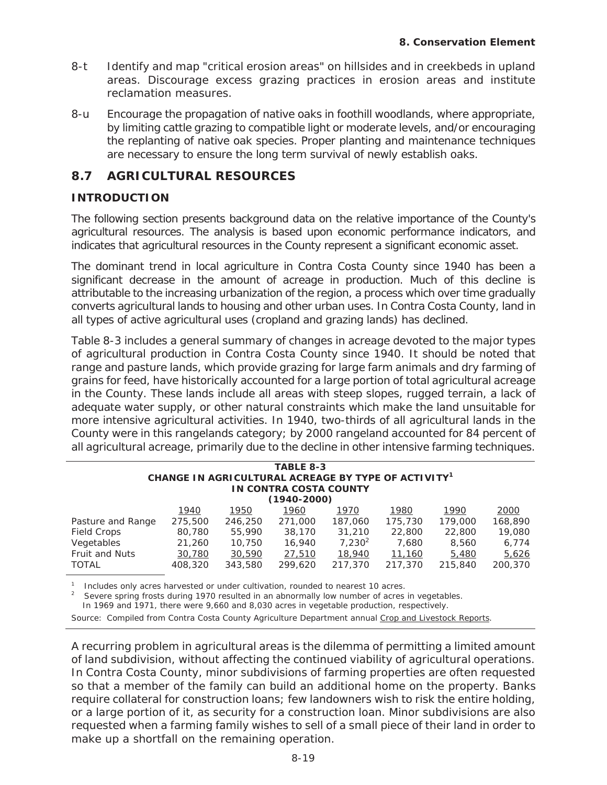- 8-t Identify and map "critical erosion areas" on hillsides and in creekbeds in upland areas. Discourage excess grazing practices in erosion areas and institute reclamation measures.
- 8-u Encourage the propagation of native oaks in foothill woodlands, where appropriate, by limiting cattle grazing to compatible light or moderate levels, and/or encouraging the replanting of native oak species. Proper planting and maintenance techniques are necessary to ensure the long term survival of newly establish oaks.

# **8.7 AGRICULTURAL RESOURCES**

## **INTRODUCTION**

The following section presents background data on the relative importance of the County's agricultural resources. The analysis is based upon economic performance indicators, and indicates that agricultural resources in the County represent a significant economic asset.

The dominant trend in local agriculture in Contra Costa County since 1940 has been a significant decrease in the amount of acreage in production. Much of this decline is attributable to the increasing urbanization of the region, a process which over time gradually converts agricultural lands to housing and other urban uses. In Contra Costa County, land in all types of active agricultural uses (cropland and grazing lands) has declined.

Table 8-3 includes a general summary of changes in acreage devoted to the major types of agricultural production in Contra Costa County since 1940. It should be noted that range and pasture lands, which provide grazing for large farm animals and dry farming of grains for feed, have historically accounted for a large portion of total agricultural acreage in the County. These lands include all areas with steep slopes, rugged terrain, a lack of adequate water supply, or other natural constraints which make the land unsuitable for more intensive agricultural activities. In 1940, two-thirds of all agricultural lands in the County were in this rangelands category; by 2000 rangeland accounted for 84 percent of all agricultural acreage, primarily due to the decline in other intensive farming techniques.

| TABLE 8-3<br>CHANGE IN AGRICULTURAL ACREAGE BY TYPE OF ACTIVITY <sup>1</sup> |         |         |         |           |         |         |         |  |  |  |  |  |
|------------------------------------------------------------------------------|---------|---------|---------|-----------|---------|---------|---------|--|--|--|--|--|
| IN CONTRA COSTA COUNTY                                                       |         |         |         |           |         |         |         |  |  |  |  |  |
| $(1940 - 2000)$                                                              |         |         |         |           |         |         |         |  |  |  |  |  |
|                                                                              | 1940    | 1950    | 1960    | 1970      | 1980    | 1990    | 2000    |  |  |  |  |  |
| Pasture and Range                                                            | 275,500 | 246,250 | 271,000 | 187,060   | 175,730 | 179,000 | 168,890 |  |  |  |  |  |
| <b>Field Crops</b>                                                           | 80,780  | 55,990  | 38,170  | 31,210    | 22,800  | 22,800  | 19,080  |  |  |  |  |  |
| Vegetables                                                                   | 21,260  | 10,750  | 16,940  | $7,230^2$ | 7.680   | 8,560   | 6,774   |  |  |  |  |  |
| <b>Fruit and Nuts</b>                                                        | 30,780  | 30,590  | 27,510  | 18,940    | 11,160  | 5,480   | 5,626   |  |  |  |  |  |
| <b>TOTAL</b>                                                                 | 408,320 | 343,580 | 299,620 | 217,370   | 217,370 | 215,840 | 200,370 |  |  |  |  |  |

1 Includes only acres harvested or under cultivation, rounded to nearest 10 acres. 2

Severe spring frosts during 1970 resulted in an abnormally low number of acres in vegetables.

In 1969 and 1971, there were 9,660 and 8,030 acres in vegetable production, respectively.

Source: Compiled from Contra Costa County Agriculture Department annual Crop and Livestock Reports.

A recurring problem in agricultural areas is the dilemma of permitting a limited amount of land subdivision, without affecting the continued viability of agricultural operations. In Contra Costa County, minor subdivisions of farming properties are often requested so that a member of the family can build an additional home on the property. Banks require collateral for construction loans; few landowners wish to risk the entire holding, or a large portion of it, as security for a construction loan. Minor subdivisions are also requested when a farming family wishes to sell of a small piece of their land in order to make up a shortfall on the remaining operation.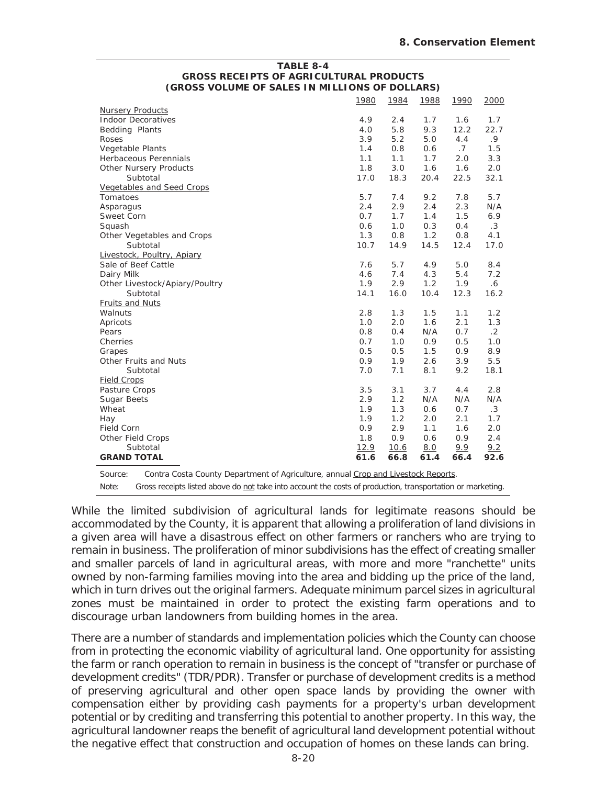#### **TABLE 8-4 GROSS RECEIPTS OF AGRICULTURAL PRODUCTS (GROSS VOLUME OF SALES IN MILLIONS OF DOLLARS)**

|                                                                                                                     | 1980 | 1984 | 1988 | 1990 | 2000      |  |  |
|---------------------------------------------------------------------------------------------------------------------|------|------|------|------|-----------|--|--|
| <b>Nursery Products</b>                                                                                             |      |      |      |      |           |  |  |
| <b>Indoor Decoratives</b>                                                                                           |      | 2.4  | 1.7  | 1.6  | 1.7       |  |  |
| Bedding Plants                                                                                                      | 4.0  | 5.8  | 9.3  | 12.2 | 22.7      |  |  |
| Roses                                                                                                               | 3.9  | 5.2  | 5.0  | 4.4  | .9        |  |  |
| Vegetable Plants                                                                                                    | 1.4  | 0.8  | 0.6  | .7   | 1.5       |  |  |
| Herbaceous Perennials                                                                                               | 1.1  | 1.1  | 1.7  | 2.0  | 3.3       |  |  |
| <b>Other Nursery Products</b>                                                                                       | 1.8  | 3.0  | 1.6  | 1.6  | 2.0       |  |  |
| Subtotal                                                                                                            | 17.0 | 18.3 | 20.4 | 22.5 | 32.1      |  |  |
| <b>Vegetables and Seed Crops</b>                                                                                    |      |      |      |      |           |  |  |
| Tomatoes                                                                                                            | 5.7  | 7.4  | 9.2  | 7.8  | 5.7       |  |  |
| Asparagus                                                                                                           | 2.4  | 2.9  | 2.4  | 2.3  | N/A       |  |  |
| Sweet Corn                                                                                                          | 0.7  | 1.7  | 1.4  | 1.5  | 6.9       |  |  |
| Squash                                                                                                              | 0.6  | 1.0  | 0.3  | 0.4  | $\cdot$ 3 |  |  |
| Other Vegetables and Crops                                                                                          | 1.3  | 0.8  | 1.2  | 0.8  | 4.1       |  |  |
| Subtotal                                                                                                            | 10.7 | 14.9 | 14.5 | 12.4 | 17.0      |  |  |
| Livestock, Poultry, Apiary                                                                                          |      |      |      |      |           |  |  |
| Sale of Beef Cattle                                                                                                 | 7.6  | 5.7  | 4.9  | 5.0  | 8.4       |  |  |
| Dairy Milk                                                                                                          | 4.6  | 7.4  | 4.3  | 5.4  | 7.2       |  |  |
| Other Livestock/Apiary/Poultry                                                                                      | 1.9  | 2.9  | 1.2  | 1.9  | 6.6       |  |  |
| Subtotal                                                                                                            | 14.1 | 16.0 | 10.4 | 12.3 | 16.2      |  |  |
| Fruits and Nuts                                                                                                     |      |      |      |      |           |  |  |
| Walnuts                                                                                                             | 2.8  | 1.3  | 1.5  | 1.1  | 1.2       |  |  |
| Apricots                                                                                                            | 1.0  | 2.0  | 1.6  | 2.1  | 1.3       |  |  |
| Pears                                                                                                               | 0.8  | 0.4  | N/A  | 0.7  | $\cdot$ 2 |  |  |
| Cherries                                                                                                            | 0.7  | 1.0  | 0.9  | 0.5  | 1.0       |  |  |
| Grapes                                                                                                              | 0.5  | 0.5  | 1.5  | 0.9  | 8.9       |  |  |
| Other Fruits and Nuts                                                                                               | 0.9  | 1.9  | 2.6  | 3.9  | 5.5       |  |  |
| Subtotal                                                                                                            | 7.0  | 7.1  | 8.1  | 9.2  | 18.1      |  |  |
| <b>Field Crops</b>                                                                                                  |      |      |      |      |           |  |  |
| Pasture Crops                                                                                                       | 3.5  | 3.1  | 3.7  | 4.4  | 2.8       |  |  |
| Sugar Beets                                                                                                         | 2.9  | 1.2  | N/A  | N/A  | N/A       |  |  |
| Wheat                                                                                                               | 1.9  | 1.3  | 0.6  | 0.7  | $\cdot$ 3 |  |  |
| Hay                                                                                                                 | 1.9  | 1.2  | 2.0  | 2.1  | 1.7       |  |  |
| <b>Field Corn</b>                                                                                                   | 0.9  | 2.9  | 1.1  | 1.6  | 2.0       |  |  |
| Other Field Crops                                                                                                   | 1.8  | 0.9  | 0.6  | 0.9  | 2.4       |  |  |
| Subtotal                                                                                                            | 12.9 | 10.6 | 8.0  | 9.9  | 9.2       |  |  |
| <b>GRAND TOTAL</b>                                                                                                  | 61.6 | 66.8 | 61.4 | 66.4 | 92.6      |  |  |
|                                                                                                                     |      |      |      |      |           |  |  |
| Source:<br>Contra Costa County Department of Agriculture, annual Crop and Livestock Reports.                        |      |      |      |      |           |  |  |
| Gross receipts listed above do not take into account the costs of production, transportation or marketing.<br>Note: |      |      |      |      |           |  |  |

While the limited subdivision of agricultural lands for legitimate reasons should be accommodated by the County, it is apparent that allowing a proliferation of land divisions in a given area will have a disastrous effect on other farmers or ranchers who are trying to remain in business. The proliferation of minor subdivisions has the effect of creating smaller and smaller parcels of land in agricultural areas, with more and more "ranchette" units owned by non-farming families moving into the area and bidding up the price of the land, which in turn drives out the original farmers. Adequate minimum parcel sizes in agricultural zones must be maintained in order to protect the existing farm operations and to discourage urban landowners from building homes in the area.

There are a number of standards and implementation policies which the County can choose from in protecting the economic viability of agricultural land. One opportunity for assisting the farm or ranch operation to remain in business is the concept of "transfer or purchase of development credits" (TDR/PDR). Transfer or purchase of development credits is a method of preserving agricultural and other open space lands by providing the owner with compensation either by providing cash payments for a property's urban development potential or by crediting and transferring this potential to another property. In this way, the agricultural landowner reaps the benefit of agricultural land development potential without the negative effect that construction and occupation of homes on these lands can bring.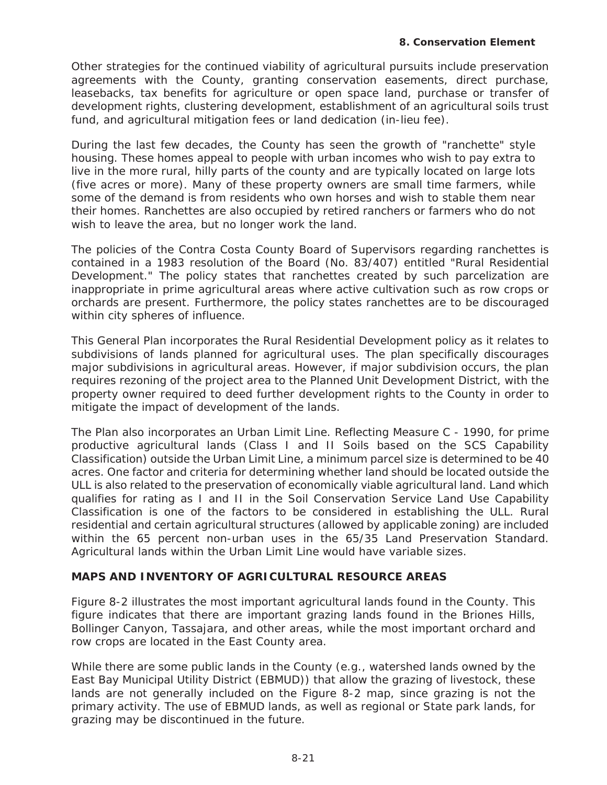Other strategies for the continued viability of agricultural pursuits include preservation agreements with the County, granting conservation easements, direct purchase, leasebacks, tax benefits for agriculture or open space land, purchase or transfer of development rights, clustering development, establishment of an agricultural soils trust fund, and agricultural mitigation fees or land dedication (in-lieu fee).

During the last few decades, the County has seen the growth of "ranchette" style housing. These homes appeal to people with urban incomes who wish to pay extra to live in the more rural, hilly parts of the county and are typically located on large lots (five acres or more). Many of these property owners are small time farmers, while some of the demand is from residents who own horses and wish to stable them near their homes. Ranchettes are also occupied by retired ranchers or farmers who do not wish to leave the area, but no longer work the land.

The policies of the Contra Costa County Board of Supervisors regarding ranchettes is contained in a 1983 resolution of the Board (No. 83/407) entitled "Rural Residential Development." The policy states that ranchettes created by such parcelization are inappropriate in prime agricultural areas where active cultivation such as row crops or orchards are present. Furthermore, the policy states ranchettes are to be discouraged within city spheres of influence.

This General Plan incorporates the Rural Residential Development policy as it relates to subdivisions of lands planned for agricultural uses. The plan specifically discourages major subdivisions in agricultural areas. However, if major subdivision occurs, the plan requires rezoning of the project area to the Planned Unit Development District, with the property owner required to deed further development rights to the County in order to mitigate the impact of development of the lands.

The Plan also incorporates an Urban Limit Line. Reflecting Measure C - 1990, for prime productive agricultural lands (Class I and II Soils based on the SCS Capability Classification) outside the Urban Limit Line, a minimum parcel size is determined to be 40 acres. One factor and criteria for determining whether land should be located outside the ULL is also related to the preservation of economically viable agricultural land. Land which qualifies for rating as I and II in the Soil Conservation Service Land Use Capability Classification is one of the factors to be considered in establishing the ULL. Rural residential and certain agricultural structures (allowed by applicable zoning) are included within the 65 percent non-urban uses in the 65/35 Land Preservation Standard. Agricultural lands within the Urban Limit Line would have variable sizes.

## **MAPS AND INVENTORY OF AGRICULTURAL RESOURCE AREAS**

Figure 8-2 illustrates the most important agricultural lands found in the County. This figure indicates that there are important grazing lands found in the Briones Hills, Bollinger Canyon, Tassajara, and other areas, while the most important orchard and row crops are located in the East County area.

While there are some public lands in the County (e.g., watershed lands owned by the East Bay Municipal Utility District (EBMUD)) that allow the grazing of livestock, these lands are not generally included on the Figure 8-2 map, since grazing is not the primary activity. The use of EBMUD lands, as well as regional or State park lands, for grazing may be discontinued in the future.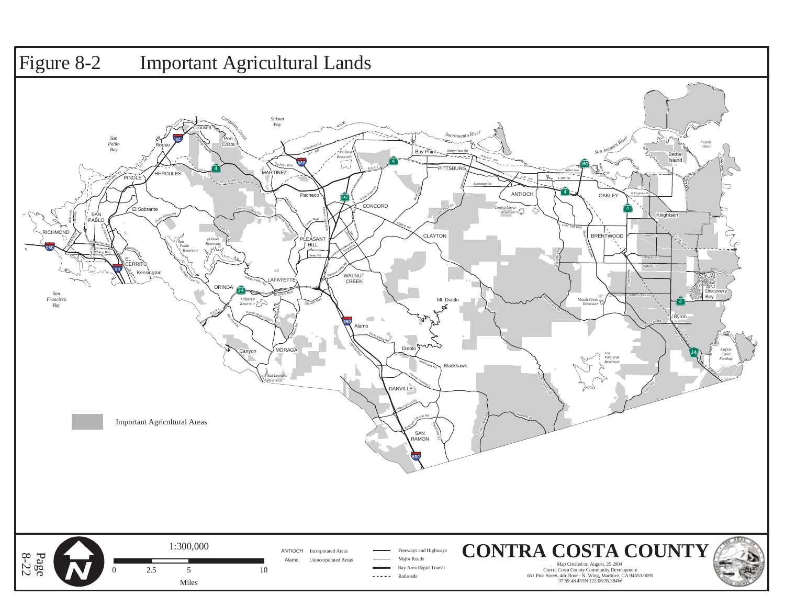# Figure 8-2 Important Agricultural Lands



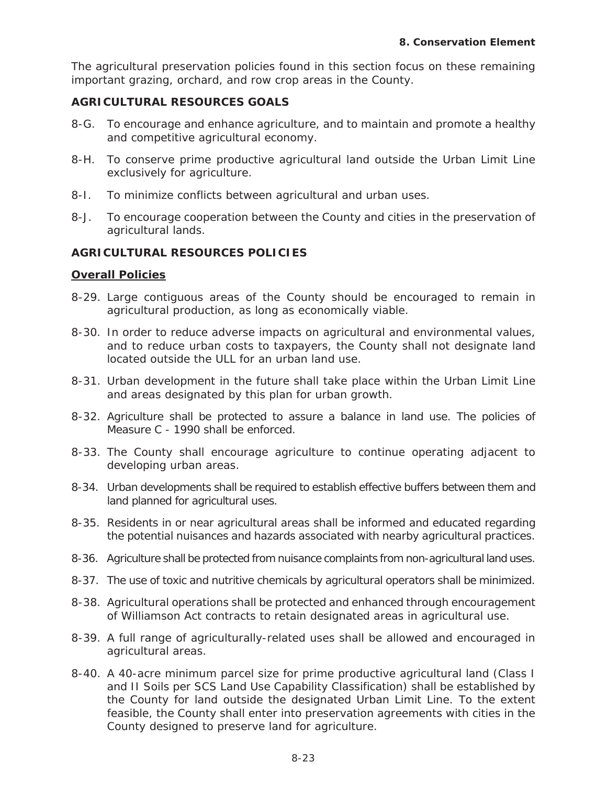The agricultural preservation policies found in this section focus on these remaining important grazing, orchard, and row crop areas in the County.

## **AGRICULTURAL RESOURCES GOALS**

- 8-G. To encourage and enhance agriculture, and to maintain and promote a healthy and competitive agricultural economy.
- 8-H. To conserve prime productive agricultural land outside the Urban Limit Line exclusively for agriculture.
- 8-I. To minimize conflicts between agricultural and urban uses.
- 8-J. To encourage cooperation between the County and cities in the preservation of agricultural lands.

## **AGRICULTURAL RESOURCES POLICIES**

## **Overall Policies**

- 8-29. Large contiguous areas of the County should be encouraged to remain in agricultural production, as long as economically viable.
- 8-30. In order to reduce adverse impacts on agricultural and environmental values, and to reduce urban costs to taxpayers, the County shall not designate land located outside the ULL for an urban land use.
- 8-31. Urban development in the future shall take place within the Urban Limit Line and areas designated by this plan for urban growth.
- 8-32. Agriculture shall be protected to assure a balance in land use. The policies of Measure C - 1990 shall be enforced.
- 8-33. The County shall encourage agriculture to continue operating adjacent to developing urban areas.
- 8-34. Urban developments shall be required to establish effective buffers between them and land planned for agricultural uses.
- 8-35. Residents in or near agricultural areas shall be informed and educated regarding the potential nuisances and hazards associated with nearby agricultural practices.
- 8-36. Agriculture shall be protected from nuisance complaints from non-agricultural land uses.
- 8-37. The use of toxic and nutritive chemicals by agricultural operators shall be minimized.
- 8-38. Agricultural operations shall be protected and enhanced through encouragement of Williamson Act contracts to retain designated areas in agricultural use.
- 8-39. A full range of agriculturally-related uses shall be allowed and encouraged in agricultural areas.
- 8-40. A 40-acre minimum parcel size for prime productive agricultural land (Class I and II Soils per SCS Land Use Capability Classification) shall be established by the County for land outside the designated Urban Limit Line. To the extent feasible, the County shall enter into preservation agreements with cities in the County designed to preserve land for agriculture.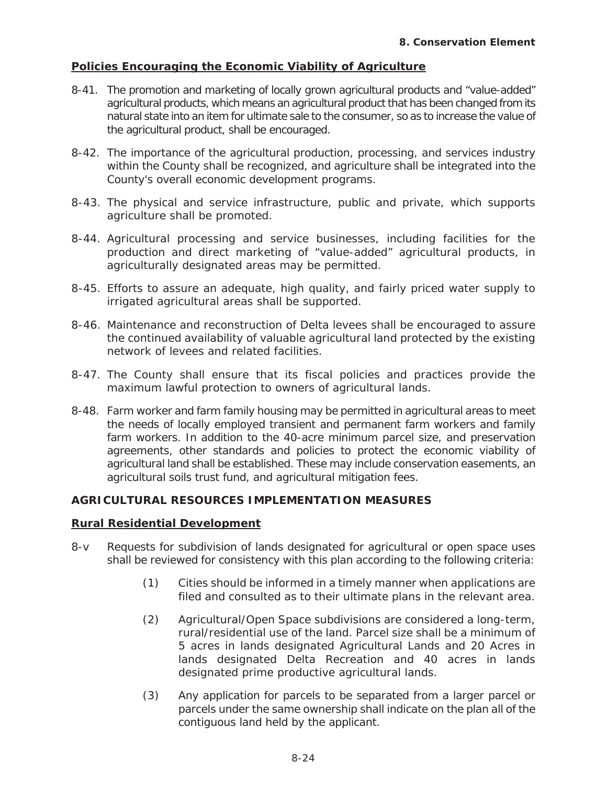## **Policies Encouraging the Economic Viability of Agriculture**

- 8-41. The promotion and marketing of locally grown agricultural products and "value-added" agricultural products, which means an agricultural product that has been changed from its natural state into an item for ultimate sale to the consumer, so as to increase the value of the agricultural product, shall be encouraged.
- 8-42. The importance of the agricultural production, processing, and services industry within the County shall be recognized, and agriculture shall be integrated into the County's overall economic development programs.
- 8-43. The physical and service infrastructure, public and private, which supports agriculture shall be promoted.
- 8-44. Agricultural processing and service businesses, including facilities for the production and direct marketing of "value-added" agricultural products, in agriculturally designated areas may be permitted.
- 8-45. Efforts to assure an adequate, high quality, and fairly priced water supply to irrigated agricultural areas shall be supported.
- 8-46. Maintenance and reconstruction of Delta levees shall be encouraged to assure the continued availability of valuable agricultural land protected by the existing network of levees and related facilities.
- 8-47. The County shall ensure that its fiscal policies and practices provide the maximum lawful protection to owners of agricultural lands.
- 8-48. Farm worker and farm family housing may be permitted in agricultural areas to meet the needs of locally employed transient and permanent farm workers and family farm workers. In addition to the 40-acre minimum parcel size, and preservation agreements, other standards and policies to protect the economic viability of agricultural land shall be established. These may include conservation easements, an agricultural soils trust fund, and agricultural mitigation fees.

## **AGRICULTURAL RESOURCES IMPLEMENTATION MEASURES**

#### **Rural Residential Development**

- 8-v Requests for subdivision of lands designated for agricultural or open space uses shall be reviewed for consistency with this plan according to the following criteria:
	- (1) Cities should be informed in a timely manner when applications are filed and consulted as to their ultimate plans in the relevant area.
	- (2) Agricultural/Open Space subdivisions are considered a long-term, rural/residential use of the land. Parcel size shall be a minimum of 5 acres in lands designated Agricultural Lands and 20 Acres in lands designated Delta Recreation and 40 acres in lands designated prime productive agricultural lands.
	- (3) Any application for parcels to be separated from a larger parcel or parcels under the same ownership shall indicate on the plan all of the contiguous land held by the applicant.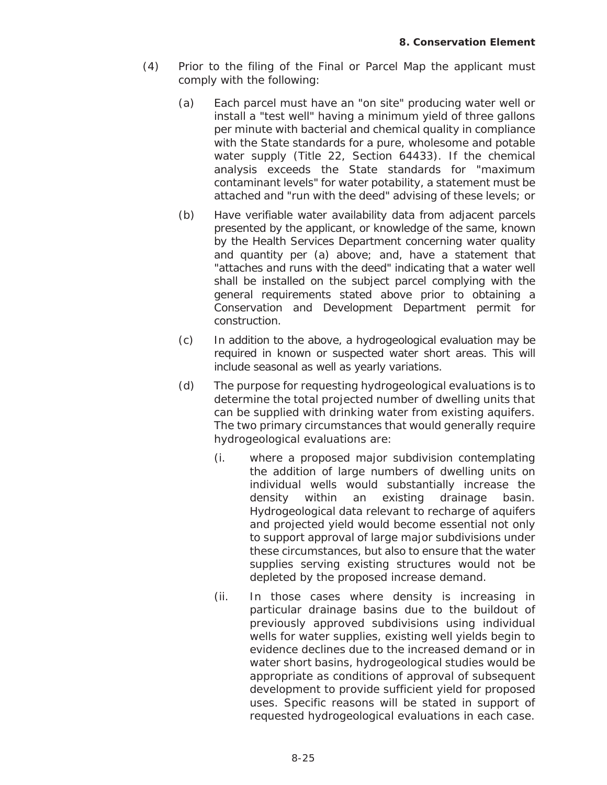- (4) Prior to the filing of the Final or Parcel Map the applicant must comply with the following:
	- (a) Each parcel must have an "on site" producing water well or install a "test well" having a minimum yield of three gallons per minute with bacterial and chemical quality in compliance with the State standards for a pure, wholesome and potable water supply (Title 22, Section 64433). If the chemical analysis exceeds the State standards for "maximum contaminant levels" for water potability, a statement must be attached and "run with the deed" advising of these levels; or
	- (b) Have verifiable water availability data from adjacent parcels presented by the applicant, or knowledge of the same, known by the Health Services Department concerning water quality and quantity per (a) above; and, have a statement that "attaches and runs with the deed" indicating that a water well shall be installed on the subject parcel complying with the general requirements stated above prior to obtaining a Conservation and Development Department permit for construction.
	- (c) In addition to the above, a hydrogeological evaluation may be required in known or suspected water short areas. This will include seasonal as well as yearly variations.
	- (d) The purpose for requesting hydrogeological evaluations is to determine the total projected number of dwelling units that can be supplied with drinking water from existing aquifers. The two primary circumstances that would generally require hydrogeological evaluations are:
		- (i. where a proposed major subdivision contemplating the addition of large numbers of dwelling units on individual wells would substantially increase the density within an existing drainage basin. Hydrogeological data relevant to recharge of aquifers and projected yield would become essential not only to support approval of large major subdivisions under these circumstances, but also to ensure that the water supplies serving existing structures would not be depleted by the proposed increase demand.
		- (ii. In those cases where density is increasing in particular drainage basins due to the buildout of previously approved subdivisions using individual wells for water supplies, existing well yields begin to evidence declines due to the increased demand or in water short basins, hydrogeological studies would be appropriate as conditions of approval of subsequent development to provide sufficient yield for proposed uses. Specific reasons will be stated in support of requested hydrogeological evaluations in each case.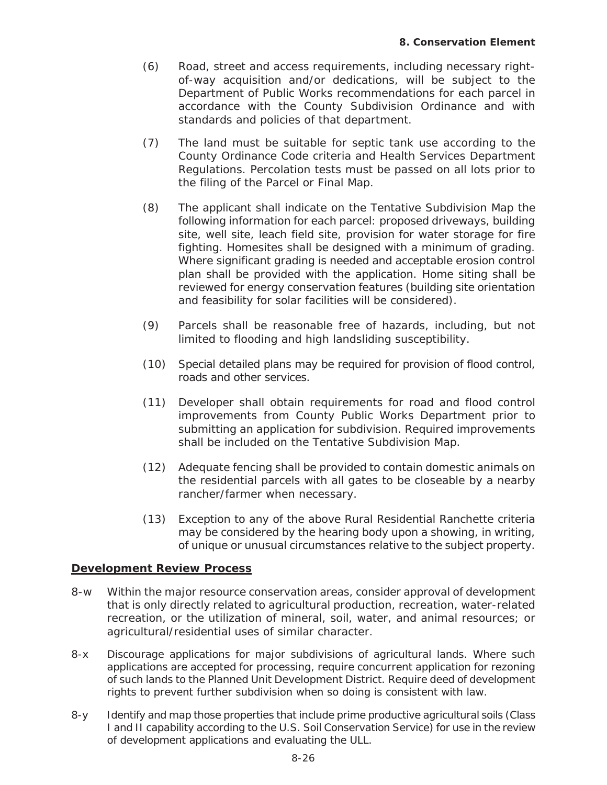- (6) Road, street and access requirements, including necessary rightof-way acquisition and/or dedications, will be subject to the Department of Public Works recommendations for each parcel in accordance with the County Subdivision Ordinance and with standards and policies of that department.
- (7) The land must be suitable for septic tank use according to the County Ordinance Code criteria and Health Services Department Regulations. Percolation tests must be passed on all lots prior to the filing of the Parcel or Final Map.
- (8) The applicant shall indicate on the Tentative Subdivision Map the following information for each parcel: proposed driveways, building site, well site, leach field site, provision for water storage for fire fighting. Homesites shall be designed with a minimum of grading. Where significant grading is needed and acceptable erosion control plan shall be provided with the application. Home siting shall be reviewed for energy conservation features (building site orientation and feasibility for solar facilities will be considered).
- (9) Parcels shall be reasonable free of hazards, including, but not limited to flooding and high landsliding susceptibility.
- (10) Special detailed plans may be required for provision of flood control, roads and other services.
- (11) Developer shall obtain requirements for road and flood control improvements from County Public Works Department prior to submitting an application for subdivision. Required improvements shall be included on the Tentative Subdivision Map.
- (12) Adequate fencing shall be provided to contain domestic animals on the residential parcels with all gates to be closeable by a nearby rancher/farmer when necessary.
- (13) Exception to any of the above Rural Residential Ranchette criteria may be considered by the hearing body upon a showing, in writing, of unique or unusual circumstances relative to the subject property.

## **Development Review Process**

- 8-w Within the major resource conservation areas, consider approval of development that is only directly related to agricultural production, recreation, water-related recreation, or the utilization of mineral, soil, water, and animal resources; or agricultural/residential uses of similar character.
- 8-x Discourage applications for major subdivisions of agricultural lands. Where such applications are accepted for processing, require concurrent application for rezoning of such lands to the Planned Unit Development District. Require deed of development rights to prevent further subdivision when so doing is consistent with law.
- 8-y Identify and map those properties that include prime productive agricultural soils (Class I and II capability according to the U.S. Soil Conservation Service) for use in the review of development applications and evaluating the ULL.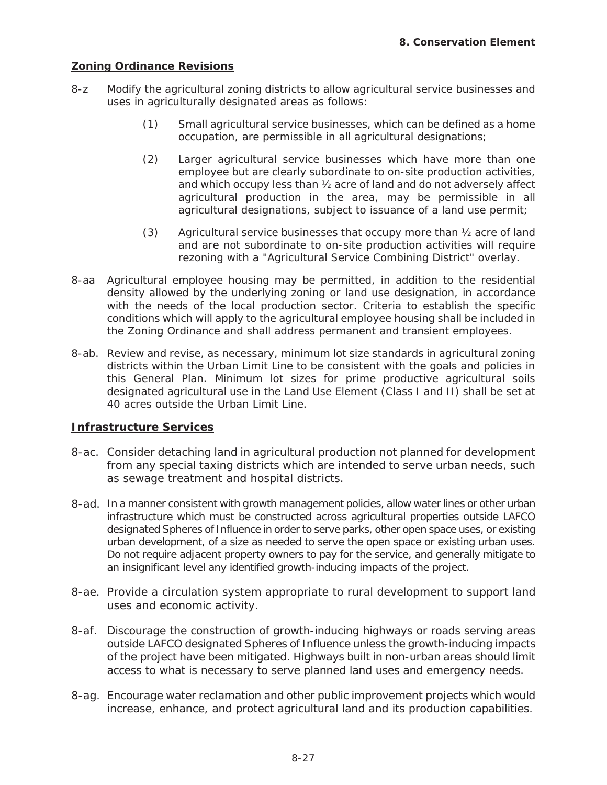#### **Zoning Ordinance Revisions**

- 8-z Modify the agricultural zoning districts to allow agricultural service businesses and uses in agriculturally designated areas as follows:
	- (1) Small agricultural service businesses, which can be defined as a home occupation, are permissible in all agricultural designations;
	- (2) Larger agricultural service businesses which have more than one employee but are clearly subordinate to on-site production activities, and which occupy less than ½ acre of land and do not adversely affect agricultural production in the area, may be permissible in all agricultural designations, subject to issuance of a land use permit;
	- (3) Agricultural service businesses that occupy more than  $\frac{1}{2}$  acre of land and are not subordinate to on-site production activities will require rezoning with a "Agricultural Service Combining District" overlay.
- 8-aa Agricultural employee housing may be permitted, in addition to the residential density allowed by the underlying zoning or land use designation, in accordance with the needs of the local production sector. Criteria to establish the specific conditions which will apply to the agricultural employee housing shall be included in the Zoning Ordinance and shall address permanent and transient employees.
- 8-ab. Review and revise, as necessary, minimum lot size standards in agricultural zoning districts within the Urban Limit Line to be consistent with the goals and policies in this General Plan. Minimum lot sizes for prime productive agricultural soils designated agricultural use in the Land Use Element (Class I and II) shall be set at 40 acres outside the Urban Limit Line.

## **Infrastructure Services**

- 8-ac. Consider detaching land in agricultural production not planned for development from any special taxing districts which are intended to serve urban needs, such as sewage treatment and hospital districts.
- 8-ad. In a manner consistent with growth management policies, allow water lines or other urban infrastructure which must be constructed across agricultural properties outside LAFCO designated Spheres of Influence in order to serve parks, other open space uses, or existing urban development, of a size as needed to serve the open space or existing urban uses. Do not require adjacent property owners to pay for the service, and generally mitigate to an insignificant level any identified growth-inducing impacts of the project.
- 8-ae. Provide a circulation system appropriate to rural development to support land uses and economic activity.
- 8-af. Discourage the construction of growth-inducing highways or roads serving areas outside LAFCO designated Spheres of Influence unless the growth-inducing impacts of the project have been mitigated. Highways built in non-urban areas should limit access to what is necessary to serve planned land uses and emergency needs.
- 8-ag. Encourage water reclamation and other public improvement projects which would increase, enhance, and protect agricultural land and its production capabilities.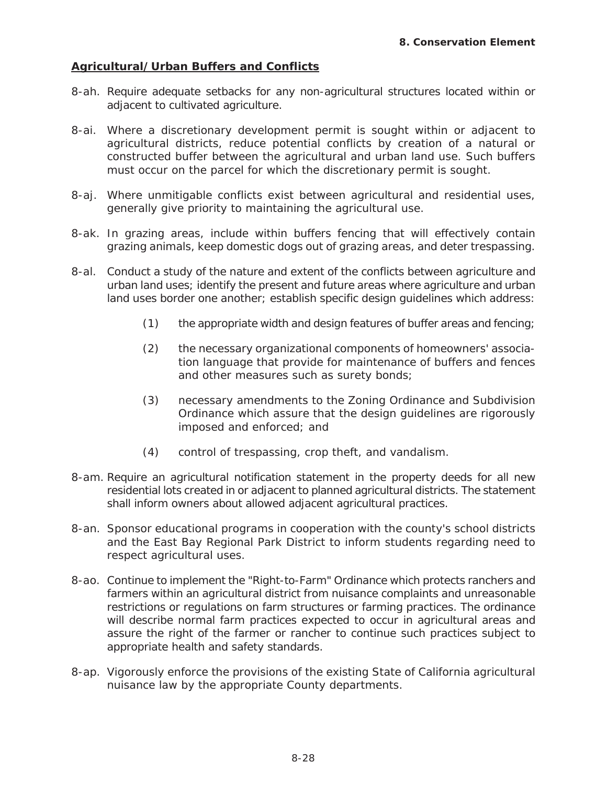## **Agricultural/Urban Buffers and Conflicts**

- 8-ah. Require adequate setbacks for any non-agricultural structures located within or adjacent to cultivated agriculture.
- 8-ai. Where a discretionary development permit is sought within or adjacent to agricultural districts, reduce potential conflicts by creation of a natural or constructed buffer between the agricultural and urban land use. Such buffers must occur on the parcel for which the discretionary permit is sought.
- 8-aj. Where unmitigable conflicts exist between agricultural and residential uses, generally give priority to maintaining the agricultural use.
- 8-ak. In grazing areas, include within buffers fencing that will effectively contain grazing animals, keep domestic dogs out of grazing areas, and deter trespassing.
- 8-al. Conduct a study of the nature and extent of the conflicts between agriculture and urban land uses; identify the present and future areas where agriculture and urban land uses border one another; establish specific design guidelines which address:
	- (1) the appropriate width and design features of buffer areas and fencing;
	- (2) the necessary organizational components of homeowners' association language that provide for maintenance of buffers and fences and other measures such as surety bonds;
	- (3) necessary amendments to the Zoning Ordinance and Subdivision Ordinance which assure that the design guidelines are rigorously imposed and enforced; and
	- (4) control of trespassing, crop theft, and vandalism.
- 8-am. Require an agricultural notification statement in the property deeds for all new residential lots created in or adjacent to planned agricultural districts. The statement shall inform owners about allowed adjacent agricultural practices.
- 8-an. Sponsor educational programs in cooperation with the county's school districts and the East Bay Regional Park District to inform students regarding need to respect agricultural uses.
- 8-ao. Continue to implement the "Right-to-Farm" Ordinance which protects ranchers and farmers within an agricultural district from nuisance complaints and unreasonable restrictions or regulations on farm structures or farming practices. The ordinance will describe normal farm practices expected to occur in agricultural areas and assure the right of the farmer or rancher to continue such practices subject to appropriate health and safety standards.
- 8-ap. Vigorously enforce the provisions of the existing State of California agricultural nuisance law by the appropriate County departments.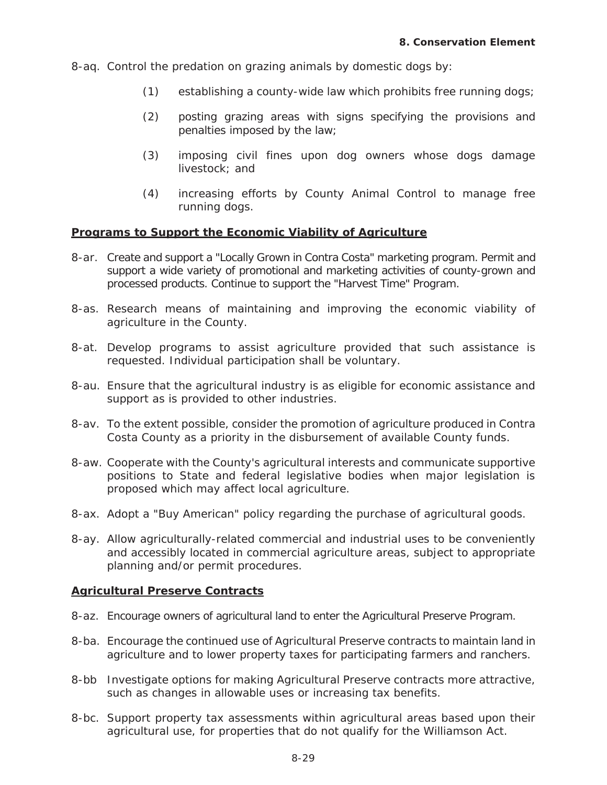8-aq. Control the predation on grazing animals by domestic dogs by:

- (1) establishing a county-wide law which prohibits free running dogs;
- (2) posting grazing areas with signs specifying the provisions and penalties imposed by the law;
- (3) imposing civil fines upon dog owners whose dogs damage livestock; and
- (4) increasing efforts by County Animal Control to manage free running dogs.

#### **Programs to Support the Economic Viability of Agriculture**

- 8-ar. Create and support a "Locally Grown in Contra Costa" marketing program. Permit and support a wide variety of promotional and marketing activities of county-grown and processed products. Continue to support the "Harvest Time" Program.
- 8-as. Research means of maintaining and improving the economic viability of agriculture in the County.
- 8-at. Develop programs to assist agriculture provided that such assistance is requested. Individual participation shall be voluntary.
- 8-au. Ensure that the agricultural industry is as eligible for economic assistance and support as is provided to other industries.
- 8-av. To the extent possible, consider the promotion of agriculture produced in Contra Costa County as a priority in the disbursement of available County funds.
- 8-aw. Cooperate with the County's agricultural interests and communicate supportive positions to State and federal legislative bodies when major legislation is proposed which may affect local agriculture.
- 8-ax. Adopt a "Buy American" policy regarding the purchase of agricultural goods.
- 8-ay. Allow agriculturally-related commercial and industrial uses to be conveniently and accessibly located in commercial agriculture areas, subject to appropriate planning and/or permit procedures.

#### **Agricultural Preserve Contracts**

- 8-az. Encourage owners of agricultural land to enter the Agricultural Preserve Program.
- 8-ba. Encourage the continued use of Agricultural Preserve contracts to maintain land in agriculture and to lower property taxes for participating farmers and ranchers.
- 8-bb Investigate options for making Agricultural Preserve contracts more attractive, such as changes in allowable uses or increasing tax benefits.
- 8-bc. Support property tax assessments within agricultural areas based upon their agricultural use, for properties that do not qualify for the Williamson Act.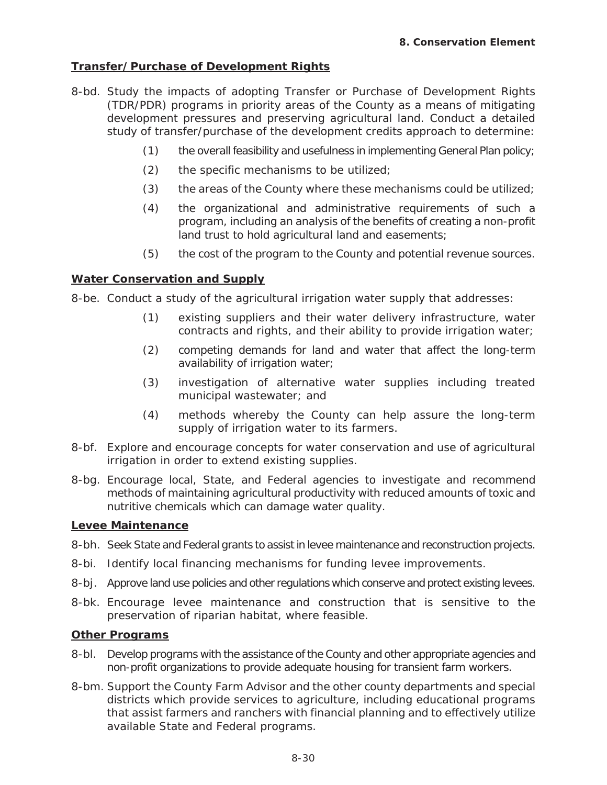## **Transfer/Purchase of Development Rights**

- 8-bd. Study the impacts of adopting Transfer or Purchase of Development Rights (TDR/PDR) programs in priority areas of the County as a means of mitigating development pressures and preserving agricultural land. Conduct a detailed study of transfer/purchase of the development credits approach to determine:
	- (1) the overall feasibility and usefulness in implementing General Plan policy;
	- (2) the specific mechanisms to be utilized;
	- (3) the areas of the County where these mechanisms could be utilized;
	- (4) the organizational and administrative requirements of such a program, including an analysis of the benefits of creating a non-profit land trust to hold agricultural land and easements;
	- (5) the cost of the program to the County and potential revenue sources.

#### **Water Conservation and Supply**

8-be. Conduct a study of the agricultural irrigation water supply that addresses:

- (1) existing suppliers and their water delivery infrastructure, water contracts and rights, and their ability to provide irrigation water;
- (2) competing demands for land and water that affect the long-term availability of irrigation water;
- (3) investigation of alternative water supplies including treated municipal wastewater; and
- (4) methods whereby the County can help assure the long-term supply of irrigation water to its farmers.
- 8-bf. Explore and encourage concepts for water conservation and use of agricultural irrigation in order to extend existing supplies.
- 8-bg. Encourage local, State, and Federal agencies to investigate and recommend methods of maintaining agricultural productivity with reduced amounts of toxic and nutritive chemicals which can damage water quality.

#### **Levee Maintenance**

- 8-bh. Seek State and Federal grants to assist in levee maintenance and reconstruction projects.
- 8-bi. Identify local financing mechanisms for funding levee improvements.
- 8-bj. Approve land use policies and other regulations which conserve and protect existing levees.
- 8-bk. Encourage levee maintenance and construction that is sensitive to the preservation of riparian habitat, where feasible.

## **Other Programs**

- 8-bl. Develop programs with the assistance of the County and other appropriate agencies and non-profit organizations to provide adequate housing for transient farm workers.
- 8-bm. Support the County Farm Advisor and the other county departments and special districts which provide services to agriculture, including educational programs that assist farmers and ranchers with financial planning and to effectively utilize available State and Federal programs.